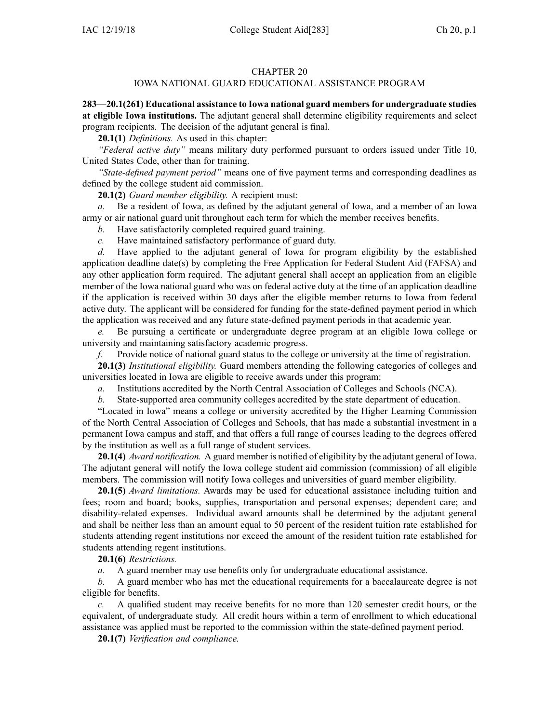## CHAPTER 20

## IOWA NATIONAL GUARD EDUCATIONAL ASSISTANCE PROGRAM

**283—20.1(261) Educational assistance to Iowa national guard membersfor undergraduate studies at eligible Iowa institutions.** The adjutant general shall determine eligibility requirements and select program recipients. The decision of the adjutant general is final.

**20.1(1)** *Definitions.* As used in this chapter:

*"Federal active duty"* means military duty performed pursuan<sup>t</sup> to orders issued under Title 10, United States Code, other than for training.

*"State-defined paymen<sup>t</sup> period"* means one of five paymen<sup>t</sup> terms and corresponding deadlines as defined by the college student aid commission.

**20.1(2)** *Guard member eligibility.* A recipient must:

*a.* Be <sup>a</sup> resident of Iowa, as defined by the adjutant general of Iowa, and <sup>a</sup> member of an Iowa army or air national guard unit throughout each term for which the member receives benefits.

*b.* Have satisfactorily completed required guard training.

*c.* Have maintained satisfactory performance of guard duty.

*d.* Have applied to the adjutant general of Iowa for program eligibility by the established application deadline date(s) by completing the Free Application for Federal Student Aid (FAFSA) and any other application form required. The adjutant general shall accep<sup>t</sup> an application from an eligible member of the Iowa national guard who was on federal active duty at the time of an application deadline if the application is received within 30 days after the eligible member returns to Iowa from federal active duty. The applicant will be considered for funding for the state-defined paymen<sup>t</sup> period in which the application was received and any future state-defined paymen<sup>t</sup> periods in that academic year.

*e.* Be pursuing <sup>a</sup> certificate or undergraduate degree program at an eligible Iowa college or university and maintaining satisfactory academic progress.

*f.* Provide notice of national guard status to the college or university at the time of registration.

**20.1(3)** *Institutional eligibility.* Guard members attending the following categories of colleges and universities located in Iowa are eligible to receive awards under this program:

*a.* Institutions accredited by the North Central Association of Colleges and Schools (NCA).

*b.* State-supported area community colleges accredited by the state department of education.

"Located in Iowa" means <sup>a</sup> college or university accredited by the Higher Learning Commission of the North Central Association of Colleges and Schools, that has made <sup>a</sup> substantial investment in <sup>a</sup> permanen<sup>t</sup> Iowa campus and staff, and that offers <sup>a</sup> full range of courses leading to the degrees offered by the institution as well as <sup>a</sup> full range of student services.

**20.1(4)** *Award notification.* A guard member is notified of eligibility by the adjutant general of Iowa. The adjutant general will notify the Iowa college student aid commission (commission) of all eligible members. The commission will notify Iowa colleges and universities of guard member eligibility.

**20.1(5)** *Award limitations.* Awards may be used for educational assistance including tuition and fees; room and board; books, supplies, transportation and personal expenses; dependent care; and disability-related expenses. Individual award amounts shall be determined by the adjutant general and shall be neither less than an amount equal to 50 percen<sup>t</sup> of the resident tuition rate established for students attending regen<sup>t</sup> institutions nor exceed the amount of the resident tuition rate established for students attending regen<sup>t</sup> institutions.

**20.1(6)** *Restrictions.*

*a.* A guard member may use benefits only for undergraduate educational assistance.

*b.* A guard member who has met the educational requirements for <sup>a</sup> baccalaureate degree is not eligible for benefits.

A qualified student may receive benefits for no more than 120 semester credit hours, or the equivalent, of undergraduate study. All credit hours within <sup>a</sup> term of enrollment to which educational assistance was applied must be reported to the commission within the state-defined paymen<sup>t</sup> period.

**20.1(7)** *Verification and compliance.*